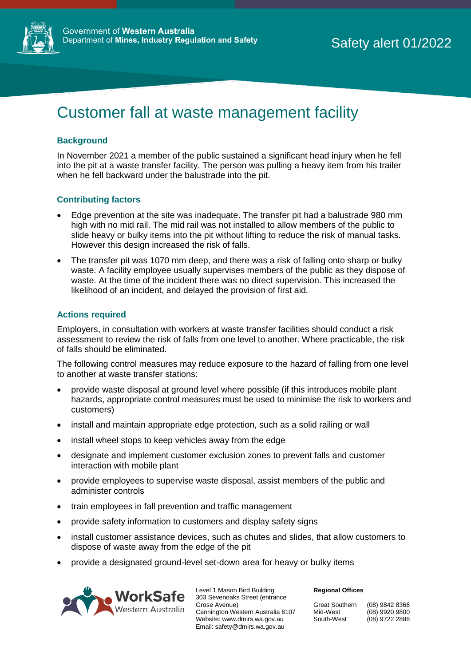

# Customer fall at waste management facility

### **Background**

In November 2021 a member of the public sustained a significant head injury when he fell into the pit at a waste transfer facility. The person was pulling a heavy item from his trailer when he fell backward under the balustrade into the pit.

#### **Contributing factors**

- Edge prevention at the site was inadequate. The transfer pit had a balustrade 980 mm high with no mid rail. The mid rail was not installed to allow members of the public to slide heavy or bulky items into the pit without lifting to reduce the risk of manual tasks. However this design increased the risk of falls.
- The transfer pit was 1070 mm deep, and there was a risk of falling onto sharp or bulky waste. A facility employee usually supervises members of the public as they dispose of waste. At the time of the incident there was no direct supervision. This increased the likelihood of an incident, and delayed the provision of first aid.

#### **Actions required**

Employers, in consultation with workers at waste transfer facilities should conduct a risk assessment to review the risk of falls from one level to another. Where practicable, the risk of falls should be eliminated.

The following control measures may reduce exposure to the hazard of falling from one level to another at waste transfer stations:

- provide waste disposal at ground level where possible (if this introduces mobile plant hazards, appropriate control measures must be used to minimise the risk to workers and customers)
- install and maintain appropriate edge protection, such as a solid railing or wall
- install wheel stops to keep vehicles away from the edge
- designate and implement customer exclusion zones to prevent falls and customer interaction with mobile plant
- provide employees to supervise waste disposal, assist members of the public and administer controls
- train employees in fall prevention and traffic management
- provide safety information to customers and display safety signs
- install customer assistance devices, such as chutes and slides, that allow customers to dispose of waste away from the edge of the pit
- provide a designated ground-level set-down area for heavy or bulky items



Level 1 Mason Bird Building 303 Sevenoaks Street (entrance Grose Avenue) Cannington Western Australia 6107 Website: www.dmirs.wa.gov.au Email: safety@dmirs.wa.gov.au

#### **Regional Offices**

| Great Southern | (08) 9842 8366   |
|----------------|------------------|
| Mid-West       | $(08)$ 9920 9800 |
| South-West     | (08) 9722 2888   |